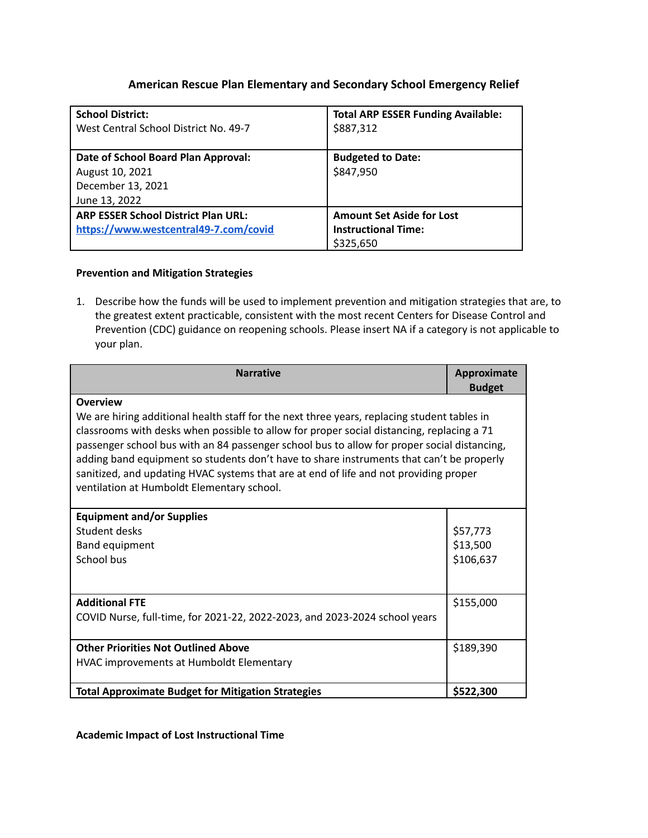# **American Rescue Plan Elementary and Secondary School Emergency Relief**

| <b>School District:</b>                    | <b>Total ARP ESSER Funding Available:</b> |
|--------------------------------------------|-------------------------------------------|
| West Central School District No. 49-7      | \$887,312                                 |
|                                            |                                           |
| Date of School Board Plan Approval:        | <b>Budgeted to Date:</b>                  |
| August 10, 2021                            | \$847,950                                 |
| December 13, 2021                          |                                           |
| June 13, 2022                              |                                           |
| <b>ARP ESSER School District Plan URL:</b> | <b>Amount Set Aside for Lost</b>          |
| https://www.westcentral49-7.com/covid      | <b>Instructional Time:</b>                |
|                                            | \$325,650                                 |

#### **Prevention and Mitigation Strategies**

1. Describe how the funds will be used to implement prevention and mitigation strategies that are, to the greatest extent practicable, consistent with the most recent Centers for Disease Control and Prevention (CDC) guidance on reopening schools. Please insert NA if a category is not applicable to your plan.

| <b>Narrative</b>                                                                                                                                                                                                                                                                                                                                                                                                                                                                                                                              | Approximate                       |  |
|-----------------------------------------------------------------------------------------------------------------------------------------------------------------------------------------------------------------------------------------------------------------------------------------------------------------------------------------------------------------------------------------------------------------------------------------------------------------------------------------------------------------------------------------------|-----------------------------------|--|
|                                                                                                                                                                                                                                                                                                                                                                                                                                                                                                                                               | <b>Budget</b>                     |  |
| <b>Overview</b><br>We are hiring additional health staff for the next three years, replacing student tables in<br>classrooms with desks when possible to allow for proper social distancing, replacing a 71<br>passenger school bus with an 84 passenger school bus to allow for proper social distancing,<br>adding band equipment so students don't have to share instruments that can't be properly<br>sanitized, and updating HVAC systems that are at end of life and not providing proper<br>ventilation at Humboldt Elementary school. |                                   |  |
| <b>Equipment and/or Supplies</b><br>Student desks<br><b>Band equipment</b><br>School bus                                                                                                                                                                                                                                                                                                                                                                                                                                                      | \$57,773<br>\$13,500<br>\$106,637 |  |
| <b>Additional FTE</b><br>COVID Nurse, full-time, for 2021-22, 2022-2023, and 2023-2024 school years                                                                                                                                                                                                                                                                                                                                                                                                                                           | \$155,000                         |  |
| <b>Other Priorities Not Outlined Above</b><br>HVAC improvements at Humboldt Elementary                                                                                                                                                                                                                                                                                                                                                                                                                                                        | \$189,390                         |  |
| <b>Total Approximate Budget for Mitigation Strategies</b>                                                                                                                                                                                                                                                                                                                                                                                                                                                                                     | \$522,300                         |  |

**Academic Impact of Lost Instructional Time**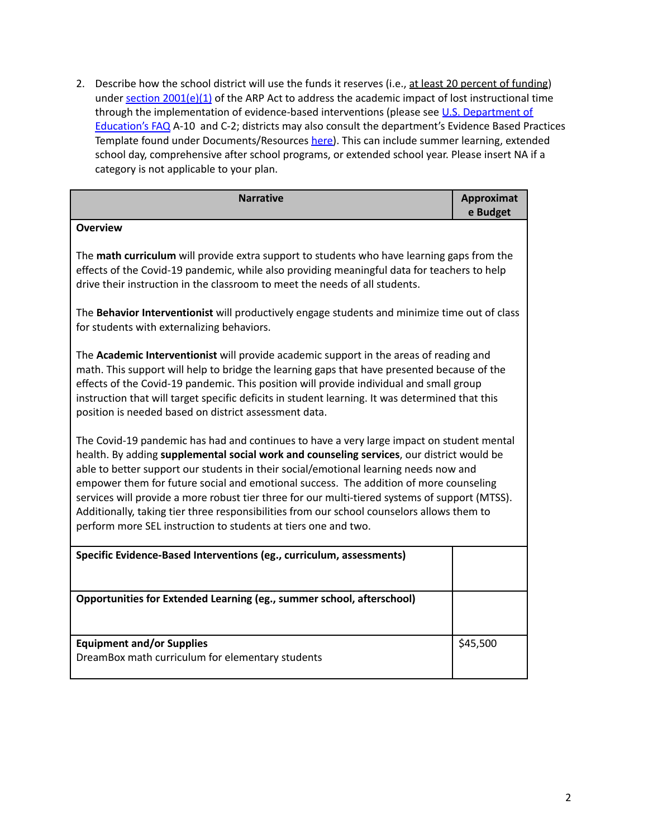2. Describe how the school district will use the funds it reserves (i.e., at least 20 percent of funding) under section [2001\(e\)\(1\)](https://www.congress.gov/bill/117th-congress/house-bill/1319/text#H02072C413F7244519FA5BB241E54A282) of the ARP Act to address the academic impact of lost instructional time through the implementation of evidence-based interventions (please see U.S. [Department](https://oese.ed.gov/files/2021/05/ESSER.GEER_.FAQs_5.26.21_745AM_FINALb0cd6833f6f46e03ba2d97d30aff953260028045f9ef3b18ea602db4b32b1d99.pdf) of [Education's](https://oese.ed.gov/files/2021/05/ESSER.GEER_.FAQs_5.26.21_745AM_FINALb0cd6833f6f46e03ba2d97d30aff953260028045f9ef3b18ea602db4b32b1d99.pdf) FAQ A-10 and C-2; districts may also consult the department's Evidence Based Practices Template found under Documents/Resources [here\)](https://doe.sd.gov/title/schoolimprovement.aspx). This can include summer learning, extended school day, comprehensive after school programs, or extended school year. Please insert NA if a category is not applicable to your plan.

| <b>Narrative</b>                                                                                                                                                                                                                                                                                                                                                                                                                                                                                                                                                                                                                          | <b>Approximat</b><br>e Budget |
|-------------------------------------------------------------------------------------------------------------------------------------------------------------------------------------------------------------------------------------------------------------------------------------------------------------------------------------------------------------------------------------------------------------------------------------------------------------------------------------------------------------------------------------------------------------------------------------------------------------------------------------------|-------------------------------|
| <b>Overview</b>                                                                                                                                                                                                                                                                                                                                                                                                                                                                                                                                                                                                                           |                               |
| The math curriculum will provide extra support to students who have learning gaps from the<br>effects of the Covid-19 pandemic, while also providing meaningful data for teachers to help<br>drive their instruction in the classroom to meet the needs of all students.                                                                                                                                                                                                                                                                                                                                                                  |                               |
| The Behavior Interventionist will productively engage students and minimize time out of class<br>for students with externalizing behaviors.                                                                                                                                                                                                                                                                                                                                                                                                                                                                                               |                               |
| The Academic Interventionist will provide academic support in the areas of reading and<br>math. This support will help to bridge the learning gaps that have presented because of the<br>effects of the Covid-19 pandemic. This position will provide individual and small group<br>instruction that will target specific deficits in student learning. It was determined that this<br>position is needed based on district assessment data.                                                                                                                                                                                              |                               |
| The Covid-19 pandemic has had and continues to have a very large impact on student mental<br>health. By adding supplemental social work and counseling services, our district would be<br>able to better support our students in their social/emotional learning needs now and<br>empower them for future social and emotional success. The addition of more counseling<br>services will provide a more robust tier three for our multi-tiered systems of support (MTSS).<br>Additionally, taking tier three responsibilities from our school counselors allows them to<br>perform more SEL instruction to students at tiers one and two. |                               |
| Specific Evidence-Based Interventions (eg., curriculum, assessments)                                                                                                                                                                                                                                                                                                                                                                                                                                                                                                                                                                      |                               |
|                                                                                                                                                                                                                                                                                                                                                                                                                                                                                                                                                                                                                                           |                               |
| Opportunities for Extended Learning (eg., summer school, afterschool)                                                                                                                                                                                                                                                                                                                                                                                                                                                                                                                                                                     |                               |
| <b>Equipment and/or Supplies</b>                                                                                                                                                                                                                                                                                                                                                                                                                                                                                                                                                                                                          | \$45,500                      |
| DreamBox math curriculum for elementary students                                                                                                                                                                                                                                                                                                                                                                                                                                                                                                                                                                                          |                               |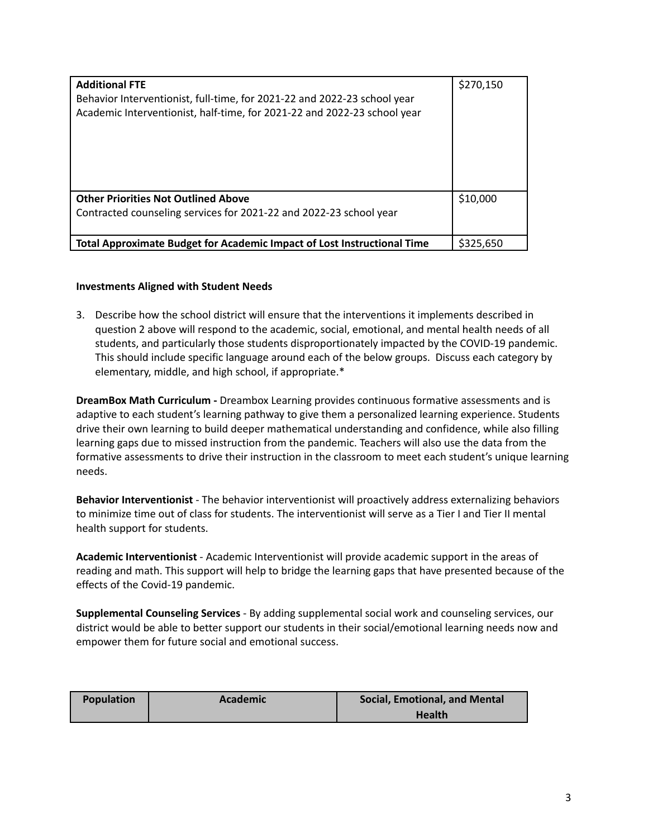| <b>Additional FTE</b><br>Behavior Interventionist, full-time, for 2021-22 and 2022-23 school year<br>Academic Interventionist, half-time, for 2021-22 and 2022-23 school year | \$270,150 |
|-------------------------------------------------------------------------------------------------------------------------------------------------------------------------------|-----------|
| <b>Other Priorities Not Outlined Above</b><br>Contracted counseling services for 2021-22 and 2022-23 school year                                                              | \$10,000  |
| Total Approximate Budget for Academic Impact of Lost Instructional Time                                                                                                       | \$325.650 |

#### **Investments Aligned with Student Needs**

3. Describe how the school district will ensure that the interventions it implements described in question 2 above will respond to the academic, social, emotional, and mental health needs of all students, and particularly those students disproportionately impacted by the COVID-19 pandemic. This should include specific language around each of the below groups. Discuss each category by elementary, middle, and high school, if appropriate.\*

**DreamBox Math Curriculum -** Dreambox Learning provides continuous formative assessments and is adaptive to each student's learning pathway to give them a personalized learning experience. Students drive their own learning to build deeper mathematical understanding and confidence, while also filling learning gaps due to missed instruction from the pandemic. Teachers will also use the data from the formative assessments to drive their instruction in the classroom to meet each student's unique learning needs.

**Behavior Interventionist** - The behavior interventionist will proactively address externalizing behaviors to minimize time out of class for students. The interventionist will serve as a Tier I and Tier II mental health support for students.

**Academic Interventionist** - Academic Interventionist will provide academic support in the areas of reading and math. This support will help to bridge the learning gaps that have presented because of the effects of the Covid-19 pandemic.

**Supplemental Counseling Services** - By adding supplemental social work and counseling services, our district would be able to better support our students in their social/emotional learning needs now and empower them for future social and emotional success.

| <b>Population</b> | <b>Academic</b> | <b>Social, Emotional, and Mental</b> |
|-------------------|-----------------|--------------------------------------|
|                   |                 | <b>Health</b>                        |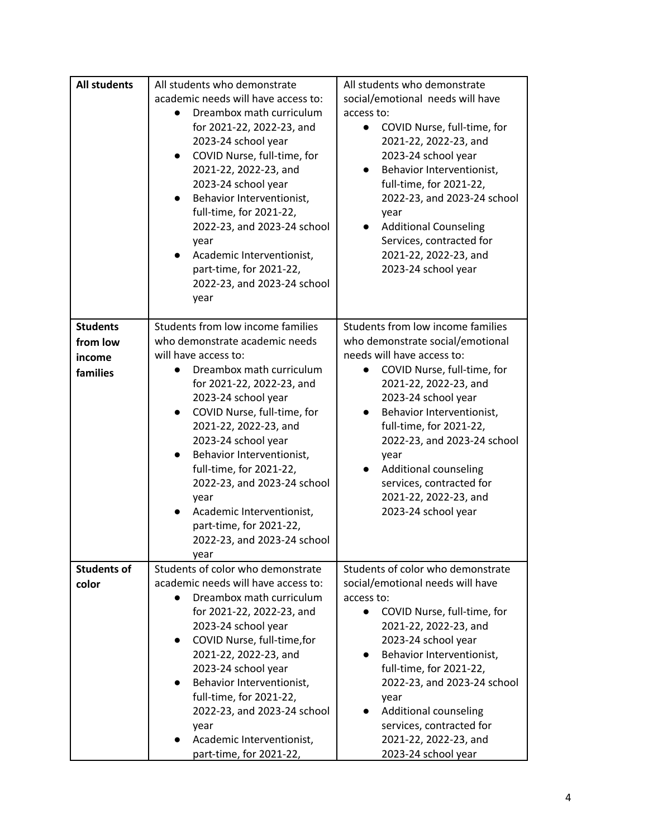| <b>All students</b>                               | All students who demonstrate<br>academic needs will have access to:<br>Dreambox math curriculum<br>for 2021-22, 2022-23, and<br>2023-24 school year<br>COVID Nurse, full-time, for<br>$\bullet$<br>2021-22, 2022-23, and<br>2023-24 school year<br>Behavior Interventionist,<br>$\bullet$<br>full-time, for 2021-22,<br>2022-23, and 2023-24 school<br>year<br>Academic Interventionist,<br>$\bullet$<br>part-time, for 2021-22,<br>2022-23, and 2023-24 school<br>year | All students who demonstrate<br>social/emotional needs will have<br>access to:<br>COVID Nurse, full-time, for<br>$\bullet$<br>2021-22, 2022-23, and<br>2023-24 school year<br>Behavior Interventionist,<br>$\bullet$<br>full-time, for 2021-22,<br>2022-23, and 2023-24 school<br>year<br><b>Additional Counseling</b><br>$\bullet$<br>Services, contracted for<br>2021-22, 2022-23, and<br>2023-24 school year |
|---------------------------------------------------|-------------------------------------------------------------------------------------------------------------------------------------------------------------------------------------------------------------------------------------------------------------------------------------------------------------------------------------------------------------------------------------------------------------------------------------------------------------------------|-----------------------------------------------------------------------------------------------------------------------------------------------------------------------------------------------------------------------------------------------------------------------------------------------------------------------------------------------------------------------------------------------------------------|
| <b>Students</b><br>from low<br>income<br>families | Students from low income families<br>who demonstrate academic needs<br>will have access to:<br>Dreambox math curriculum<br>for 2021-22, 2022-23, and<br>2023-24 school year<br>COVID Nurse, full-time, for<br>$\bullet$<br>2021-22, 2022-23, and<br>2023-24 school year<br>Behavior Interventionist,<br>full-time, for 2021-22,<br>2022-23, and 2023-24 school<br>year<br>Academic Interventionist,<br>part-time, for 2021-22,<br>2022-23, and 2023-24 school<br>year   | Students from low income families<br>who demonstrate social/emotional<br>needs will have access to:<br>COVID Nurse, full-time, for<br>2021-22, 2022-23, and<br>2023-24 school year<br>Behavior Interventionist,<br>$\bullet$<br>full-time, for 2021-22,<br>2022-23, and 2023-24 school<br>year<br>Additional counseling<br>services, contracted for<br>2021-22, 2022-23, and<br>2023-24 school year             |
| <b>Students of</b><br>color                       | Students of color who demonstrate<br>academic needs will have access to:<br>Dreambox math curriculum<br>for 2021-22, 2022-23, and<br>2023-24 school year<br>COVID Nurse, full-time, for<br>2021-22, 2022-23, and<br>2023-24 school year<br>Behavior Interventionist,<br>full-time, for 2021-22,<br>2022-23, and 2023-24 school<br>year<br>Academic Interventionist,<br>part-time, for 2021-22,                                                                          | Students of color who demonstrate<br>social/emotional needs will have<br>access to:<br>COVID Nurse, full-time, for<br>$\bullet$<br>2021-22, 2022-23, and<br>2023-24 school year<br>Behavior Interventionist,<br>full-time, for 2021-22,<br>2022-23, and 2023-24 school<br>year<br>Additional counseling<br>services, contracted for<br>2021-22, 2022-23, and<br>2023-24 school year                             |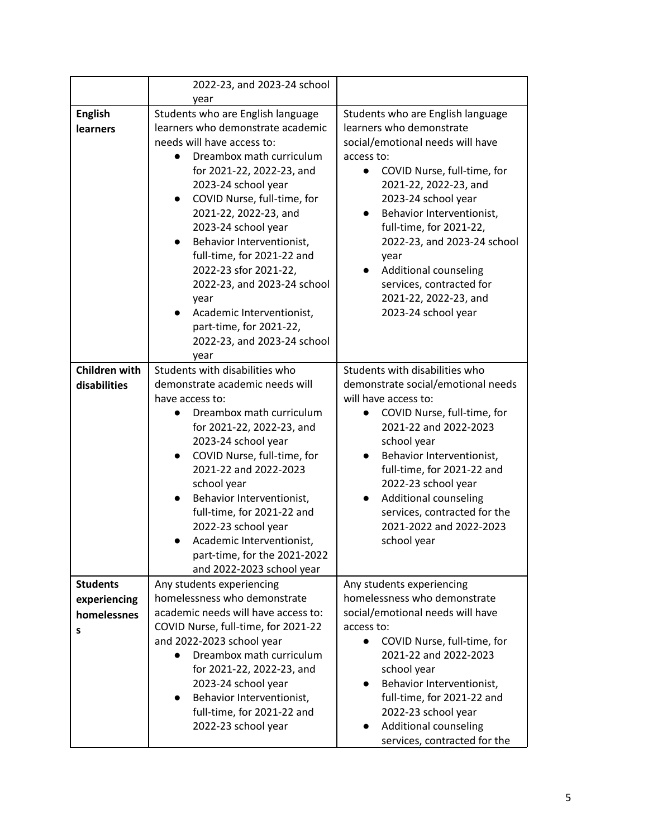|                                                     | 2022-23, and 2023-24 school<br>year                                                                                                                                                                                                                                                                                                                                                                                                                                                                             |                                                                                                                                                                                                                                                                                                                                                                                                                              |
|-----------------------------------------------------|-----------------------------------------------------------------------------------------------------------------------------------------------------------------------------------------------------------------------------------------------------------------------------------------------------------------------------------------------------------------------------------------------------------------------------------------------------------------------------------------------------------------|------------------------------------------------------------------------------------------------------------------------------------------------------------------------------------------------------------------------------------------------------------------------------------------------------------------------------------------------------------------------------------------------------------------------------|
|                                                     |                                                                                                                                                                                                                                                                                                                                                                                                                                                                                                                 |                                                                                                                                                                                                                                                                                                                                                                                                                              |
| <b>English</b><br><b>learners</b>                   | Students who are English language<br>learners who demonstrate academic<br>needs will have access to:<br>Dreambox math curriculum<br>for 2021-22, 2022-23, and<br>2023-24 school year<br>COVID Nurse, full-time, for<br>$\bullet$<br>2021-22, 2022-23, and<br>2023-24 school year<br>Behavior Interventionist,<br>$\bullet$<br>full-time, for 2021-22 and<br>2022-23 sfor 2021-22,<br>2022-23, and 2023-24 school<br>year<br>Academic Interventionist,<br>part-time, for 2021-22,<br>2022-23, and 2023-24 school | Students who are English language<br>learners who demonstrate<br>social/emotional needs will have<br>access to:<br>COVID Nurse, full-time, for<br>$\bullet$<br>2021-22, 2022-23, and<br>2023-24 school year<br>Behavior Interventionist,<br>full-time, for 2021-22,<br>2022-23, and 2023-24 school<br>year<br>Additional counseling<br>$\bullet$<br>services, contracted for<br>2021-22, 2022-23, and<br>2023-24 school year |
|                                                     | year                                                                                                                                                                                                                                                                                                                                                                                                                                                                                                            |                                                                                                                                                                                                                                                                                                                                                                                                                              |
| <b>Children with</b><br>disabilities                | Students with disabilities who<br>demonstrate academic needs will<br>have access to:<br>Dreambox math curriculum<br>for 2021-22, 2022-23, and<br>2023-24 school year<br>COVID Nurse, full-time, for<br>2021-22 and 2022-2023<br>school year<br>Behavior Interventionist,<br>full-time, for 2021-22 and<br>2022-23 school year<br>Academic Interventionist,<br>part-time, for the 2021-2022<br>and 2022-2023 school year                                                                                         | Students with disabilities who<br>demonstrate social/emotional needs<br>will have access to:<br>COVID Nurse, full-time, for<br>$\bullet$<br>2021-22 and 2022-2023<br>school year<br>Behavior Interventionist,<br>full-time, for 2021-22 and<br>2022-23 school year<br>Additional counseling<br>$\bullet$<br>services, contracted for the<br>2021-2022 and 2022-2023<br>school year                                           |
| <b>Students</b><br>experiencing<br>homelessnes<br>s | Any students experiencing<br>homelessness who demonstrate<br>academic needs will have access to:<br>COVID Nurse, full-time, for 2021-22<br>and 2022-2023 school year<br>Dreambox math curriculum<br>$\bullet$<br>for 2021-22, 2022-23, and<br>2023-24 school year<br>Behavior Interventionist,<br>full-time, for 2021-22 and<br>2022-23 school year                                                                                                                                                             | Any students experiencing<br>homelessness who demonstrate<br>social/emotional needs will have<br>access to:<br>COVID Nurse, full-time, for<br>$\bullet$<br>2021-22 and 2022-2023<br>school year<br>Behavior Interventionist,<br>full-time, for 2021-22 and<br>2022-23 school year<br>Additional counseling<br>services, contracted for the                                                                                   |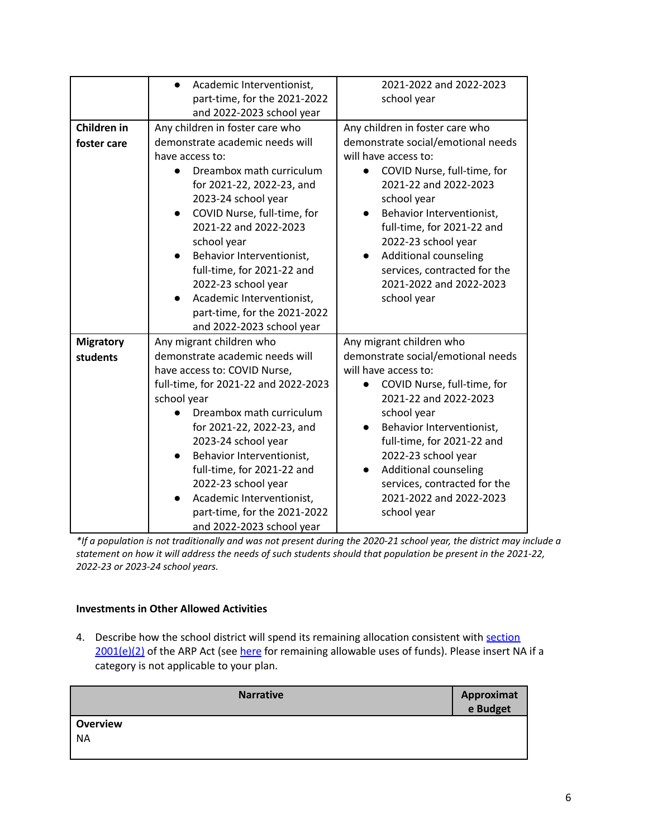|                  | Academic Interventionist,<br>$\bullet$ | 2021-2022 and 2022-2023                  |
|------------------|----------------------------------------|------------------------------------------|
|                  | part-time, for the 2021-2022           | school year                              |
|                  | and 2022-2023 school year              |                                          |
| Children in      | Any children in foster care who        | Any children in foster care who          |
| foster care      | demonstrate academic needs will        | demonstrate social/emotional needs       |
|                  | have access to:                        | will have access to:                     |
|                  | Dreambox math curriculum               | COVID Nurse, full-time, for<br>$\bullet$ |
|                  | for 2021-22, 2022-23, and              | 2021-22 and 2022-2023                    |
|                  | 2023-24 school year                    | school year                              |
|                  | COVID Nurse, full-time, for            | Behavior Interventionist,<br>$\bullet$   |
|                  | 2021-22 and 2022-2023                  | full-time, for 2021-22 and               |
|                  | school year                            | 2022-23 school year                      |
|                  | Behavior Interventionist,<br>$\bullet$ | <b>Additional counseling</b>             |
|                  | full-time, for 2021-22 and             | services, contracted for the             |
|                  | 2022-23 school year                    | 2021-2022 and 2022-2023                  |
|                  | Academic Interventionist,              | school year                              |
|                  | part-time, for the 2021-2022           |                                          |
|                  | and 2022-2023 school year              |                                          |
| <b>Migratory</b> | Any migrant children who               | Any migrant children who                 |
| students         | demonstrate academic needs will        | demonstrate social/emotional needs       |
|                  | have access to: COVID Nurse,           | will have access to:                     |
|                  | full-time, for 2021-22 and 2022-2023   | COVID Nurse, full-time, for              |
|                  | school year                            | 2021-22 and 2022-2023                    |
|                  | Dreambox math curriculum               | school year                              |
|                  | for 2021-22, 2022-23, and              | Behavior Interventionist,<br>$\bullet$   |
|                  | 2023-24 school year                    | full-time, for 2021-22 and               |
|                  | Behavior Interventionist,              | 2022-23 school year                      |
|                  | full-time, for 2021-22 and             | Additional counseling                    |
|                  | 2022-23 school year                    | services, contracted for the             |
|                  | Academic Interventionist,              | 2021-2022 and 2022-2023                  |
|                  | part-time, for the 2021-2022           | school year                              |
|                  | and 2022-2023 school year              |                                          |

\*If a population is not traditionally and was not present during the 2020-21 school year, the district may include a statement on how it will address the needs of such students should that population be present in the 2021-22, *2022-23 or 2023-24 school years.*

# **Investments in Other Allowed Activities**

4. Describe how the school district will spend its remaining allocation consistent with [section](https://www.congress.gov/bill/117th-congress/house-bill/1319/text#H1C1CA7B872894DE0B325C5BB06991BB8) [2001\(e\)\(2\)](https://www.congress.gov/bill/117th-congress/house-bill/1319/text#H1C1CA7B872894DE0B325C5BB06991BB8) of the ARP Act (see [here](https://www.congress.gov/bill/117th-congress/house-bill/1319/text#H1C1CA7B872894DE0B325C5BB06991BB8) for remaining allowable uses of funds). Please insert NA if a category is not applicable to your plan.

| <b>Narrative</b> | <b>Approximat</b><br>e Budget |
|------------------|-------------------------------|
| Overview         |                               |
| <b>NA</b>        |                               |
|                  |                               |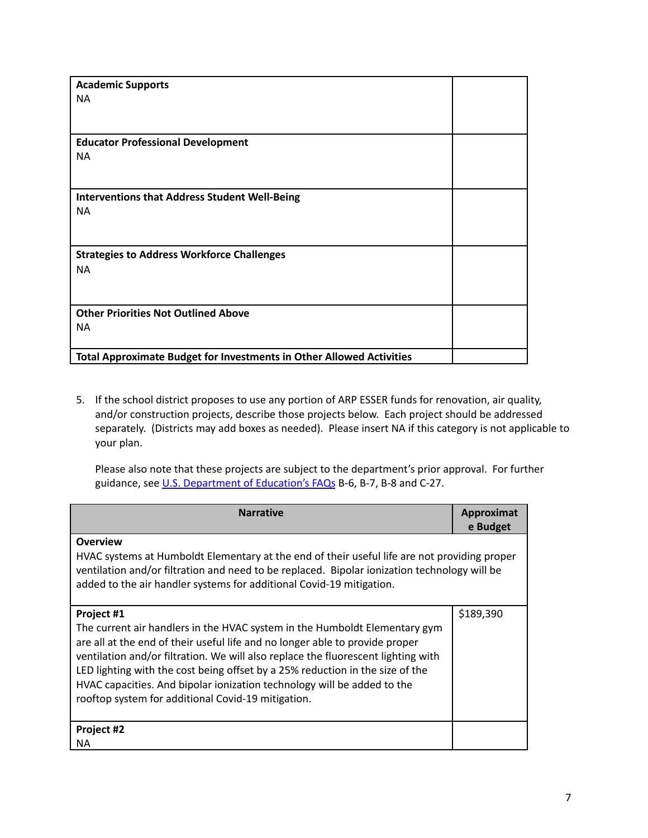| <b>Academic Supports</b>                                                    |  |
|-----------------------------------------------------------------------------|--|
| <b>NA</b>                                                                   |  |
|                                                                             |  |
|                                                                             |  |
| <b>Educator Professional Development</b>                                    |  |
| <b>NA</b>                                                                   |  |
|                                                                             |  |
|                                                                             |  |
| <b>Interventions that Address Student Well-Being</b>                        |  |
| <b>NA</b>                                                                   |  |
|                                                                             |  |
|                                                                             |  |
| <b>Strategies to Address Workforce Challenges</b>                           |  |
| <b>NA</b>                                                                   |  |
|                                                                             |  |
|                                                                             |  |
| <b>Other Priorities Not Outlined Above</b>                                  |  |
| <b>NA</b>                                                                   |  |
|                                                                             |  |
| <b>Total Approximate Budget for Investments in Other Allowed Activities</b> |  |

5. If the school district proposes to use any portion of ARP ESSER funds for renovation, air quality, and/or construction projects, describe those projects below. Each project should be addressed separately. (Districts may add boxes as needed). Please insert NA if this category is not applicable to your plan.

Please also note that these projects are subject to the department's prior approval. For further guidance, see U.S. [Department](https://oese.ed.gov/files/2021/05/ESSER.GEER_.FAQs_5.26.21_745AM_FINALb0cd6833f6f46e03ba2d97d30aff953260028045f9ef3b18ea602db4b32b1d99.pdf) of Education's FAQs B-6, B-7, B-8 and C-27.

| <b>Narrative</b>                                                                                                                                                                                                                                                                                                                                                                                                                                                                | Approximat<br>e Budget |
|---------------------------------------------------------------------------------------------------------------------------------------------------------------------------------------------------------------------------------------------------------------------------------------------------------------------------------------------------------------------------------------------------------------------------------------------------------------------------------|------------------------|
| <b>Overview</b><br>HVAC systems at Humboldt Elementary at the end of their useful life are not providing proper<br>ventilation and/or filtration and need to be replaced. Bipolar ionization technology will be<br>added to the air handler systems for additional Covid-19 mitigation.                                                                                                                                                                                         |                        |
| Project #1<br>The current air handlers in the HVAC system in the Humboldt Elementary gym<br>are all at the end of their useful life and no longer able to provide proper<br>ventilation and/or filtration. We will also replace the fluorescent lighting with<br>LED lighting with the cost being offset by a 25% reduction in the size of the<br>HVAC capacities. And bipolar ionization technology will be added to the<br>rooftop system for additional Covid-19 mitigation. | \$189,390              |
| Project #2<br>NА                                                                                                                                                                                                                                                                                                                                                                                                                                                                |                        |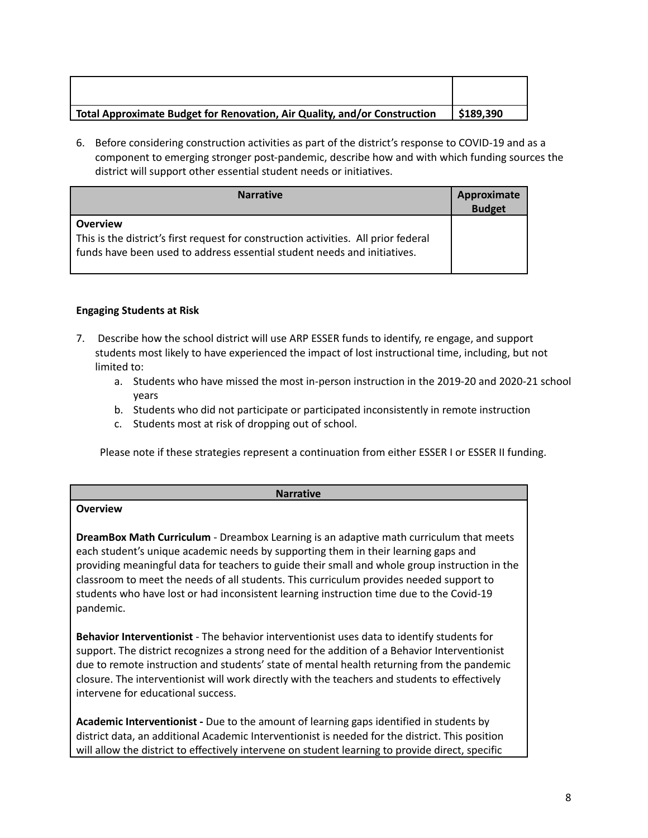| Total Approximate Budget for Renovation, Air Quality, and/or Construction | \$189,390 |
|---------------------------------------------------------------------------|-----------|

6. Before considering construction activities as part of the district's response to COVID-19 and as a component to emerging stronger post-pandemic, describe how and with which funding sources the district will support other essential student needs or initiatives.

| <b>Narrative</b>                                                                                                                                                                   | Approximate<br><b>Budget</b> |
|------------------------------------------------------------------------------------------------------------------------------------------------------------------------------------|------------------------------|
| <b>Overview</b><br>This is the district's first request for construction activities. All prior federal<br>funds have been used to address essential student needs and initiatives. |                              |

## **Engaging Students at Risk**

- 7. Describe how the school district will use ARP ESSER funds to identify, re engage, and support students most likely to have experienced the impact of lost instructional time, including, but not limited to:
	- a. Students who have missed the most in-person instruction in the 2019-20 and 2020-21 school years
	- b. Students who did not participate or participated inconsistently in remote instruction
	- c. Students most at risk of dropping out of school.

Please note if these strategies represent a continuation from either ESSER I or ESSER II funding.

| <b>Narrative</b>                                                                                                                                                                                                                                                                                                                                                                                                                                                                   |
|------------------------------------------------------------------------------------------------------------------------------------------------------------------------------------------------------------------------------------------------------------------------------------------------------------------------------------------------------------------------------------------------------------------------------------------------------------------------------------|
| <b>Overview</b>                                                                                                                                                                                                                                                                                                                                                                                                                                                                    |
| DreamBox Math Curriculum - Dreambox Learning is an adaptive math curriculum that meets<br>each student's unique academic needs by supporting them in their learning gaps and<br>providing meaningful data for teachers to guide their small and whole group instruction in the<br>classroom to meet the needs of all students. This curriculum provides needed support to<br>students who have lost or had inconsistent learning instruction time due to the Covid-19<br>pandemic. |
| Behavior Interventionist - The behavior interventionist uses data to identify students for<br>support. The district recognizes a strong need for the addition of a Behavior Interventionist<br>due to remote instruction and students' state of mental health returning from the pandemic<br>closure. The interventionist will work directly with the teachers and students to effectively<br>intervene for educational success.                                                   |
| <b>Academic Interventionist</b> - Due to the amount of learning gaps identified in students by<br>district data, an additional Academic Interventionist is needed for the district. This position                                                                                                                                                                                                                                                                                  |

will allow the district to effectively intervene on student learning to provide direct, specific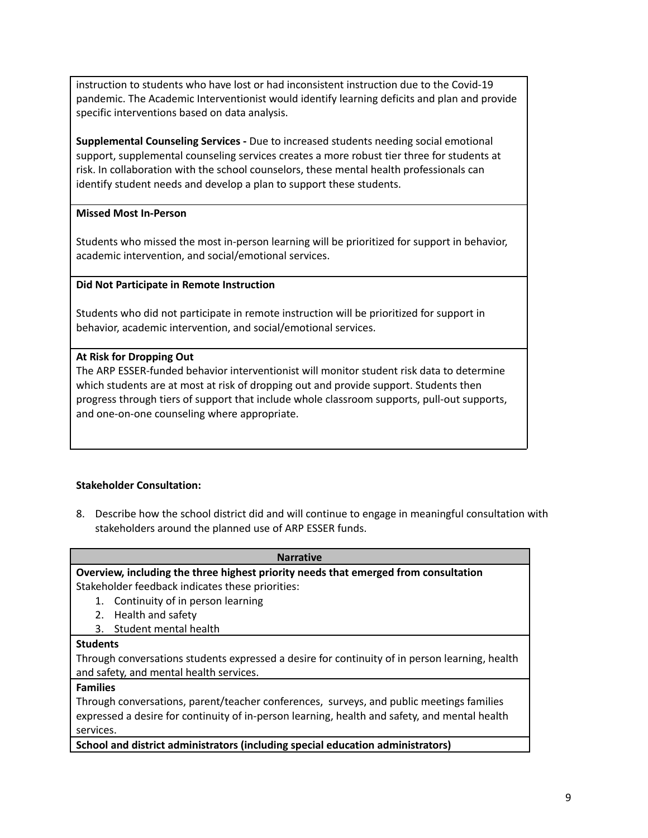instruction to students who have lost or had inconsistent instruction due to the Covid-19 pandemic. The Academic Interventionist would identify learning deficits and plan and provide specific interventions based on data analysis.

**Supplemental Counseling Services -** Due to increased students needing social emotional support, supplemental counseling services creates a more robust tier three for students at risk. In collaboration with the school counselors, these mental health professionals can identify student needs and develop a plan to support these students.

## **Missed Most In-Person**

Students who missed the most in-person learning will be prioritized for support in behavior, academic intervention, and social/emotional services.

## **Did Not Participate in Remote Instruction**

Students who did not participate in remote instruction will be prioritized for support in behavior, academic intervention, and social/emotional services.

## **At Risk for Dropping Out**

The ARP ESSER-funded behavior interventionist will monitor student risk data to determine which students are at most at risk of dropping out and provide support. Students then progress through tiers of support that include whole classroom supports, pull-out supports, and one-on-one counseling where appropriate.

# **Stakeholder Consultation:**

8. Describe how the school district did and will continue to engage in meaningful consultation with stakeholders around the planned use of ARP ESSER funds.

| <b>Narrative</b>                                                                               |
|------------------------------------------------------------------------------------------------|
| Overview, including the three highest priority needs that emerged from consultation            |
| Stakeholder feedback indicates these priorities:                                               |
| Continuity of in person learning<br>1.                                                         |
| Health and safety<br>2.                                                                        |
| 3. Student mental health                                                                       |
| <b>Students</b>                                                                                |
| Through conversations students expressed a desire for continuity of in person learning, health |
| and safety, and mental health services.                                                        |
| <b>Families</b>                                                                                |
| Through conversations, parent/teacher conferences, surveys, and public meetings families       |
| expressed a desire for continuity of in-person learning, health and safety, and mental health  |
| services.                                                                                      |
| School and district administrators (including special education administrators)                |